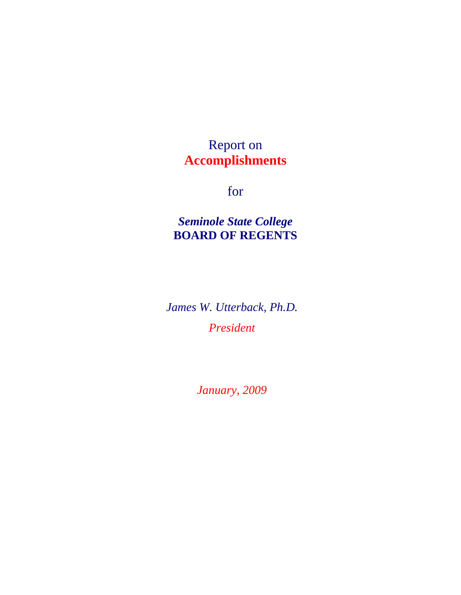### Report on **Accomplishments**

for

*Seminole State College*  **BOARD OF REGENTS**

*James W. Utterback, Ph.D. President* 

*January, 2009*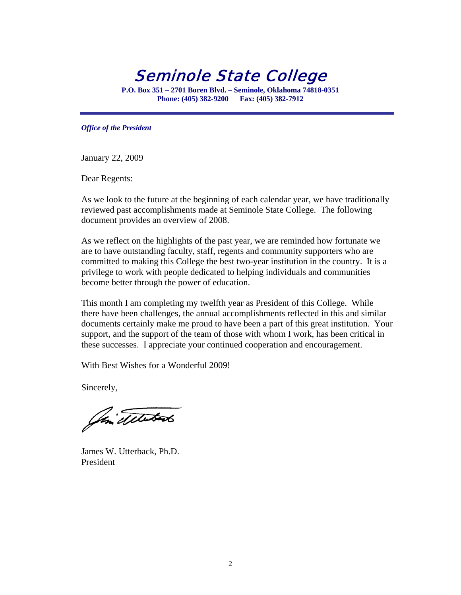Seminole State College

**P.O. Box 351 – 2701 Boren Blvd. – Seminole, Oklahoma 74818-0351 Phone: (405) 382-9200 Fax: (405) 382-7912** 

*Office of the President* 

January 22, 2009

Dear Regents:

As we look to the future at the beginning of each calendar year, we have traditionally reviewed past accomplishments made at Seminole State College. The following document provides an overview of 2008.

As we reflect on the highlights of the past year, we are reminded how fortunate we are to have outstanding faculty, staff, regents and community supporters who are committed to making this College the best two-year institution in the country. It is a privilege to work with people dedicated to helping individuals and communities become better through the power of education.

This month I am completing my twelfth year as President of this College. While there have been challenges, the annual accomplishments reflected in this and similar documents certainly make me proud to have been a part of this great institution. Your support, and the support of the team of those with whom I work, has been critical in these successes. I appreciate your continued cooperation and encouragement.

With Best Wishes for a Wonderful 2009!

Sincerely,

Oin Telestado

James W. Utterback, Ph.D. President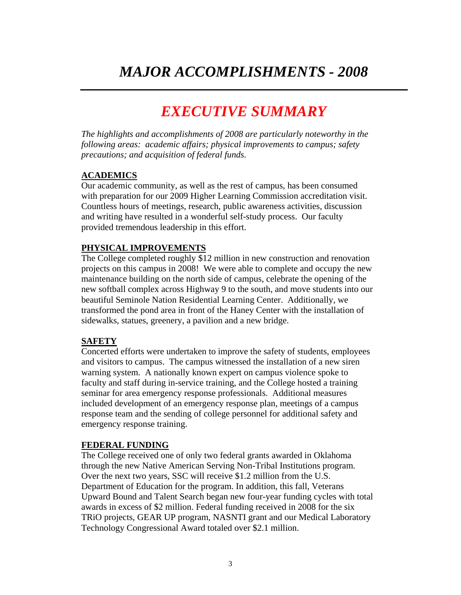# *EXECUTIVE SUMMARY*

*The highlights and accomplishments of 2008 are particularly noteworthy in the following areas: academic affairs; physical improvements to campus; safety precautions; and acquisition of federal funds.*

#### **ACADEMICS**

Our academic community, as well as the rest of campus, has been consumed with preparation for our 2009 Higher Learning Commission accreditation visit. Countless hours of meetings, research, public awareness activities, discussion and writing have resulted in a wonderful self-study process. Our faculty provided tremendous leadership in this effort.

#### **PHYSICAL IMPROVEMENTS**

The College completed roughly \$12 million in new construction and renovation projects on this campus in 2008! We were able to complete and occupy the new maintenance building on the north side of campus, celebrate the opening of the new softball complex across Highway 9 to the south, and move students into our beautiful Seminole Nation Residential Learning Center. Additionally, we transformed the pond area in front of the Haney Center with the installation of sidewalks, statues, greenery, a pavilion and a new bridge.

#### **SAFETY**

Concerted efforts were undertaken to improve the safety of students, employees and visitors to campus. The campus witnessed the installation of a new siren warning system. A nationally known expert on campus violence spoke to faculty and staff during in-service training, and the College hosted a training seminar for area emergency response professionals. Additional measures included development of an emergency response plan, meetings of a campus response team and the sending of college personnel for additional safety and emergency response training.

#### **FEDERAL FUNDING**

The College received one of only two federal grants awarded in Oklahoma through the new Native American Serving Non-Tribal Institutions program. Over the next two years, SSC will receive \$1.2 million from the U.S. Department of Education for the program. In addition, this fall, Veterans Upward Bound and Talent Search began new four-year funding cycles with total awards in excess of \$2 million. Federal funding received in 2008 for the six TRiO projects, GEAR UP program, NASNTI grant and our Medical Laboratory Technology Congressional Award totaled over \$2.1 million.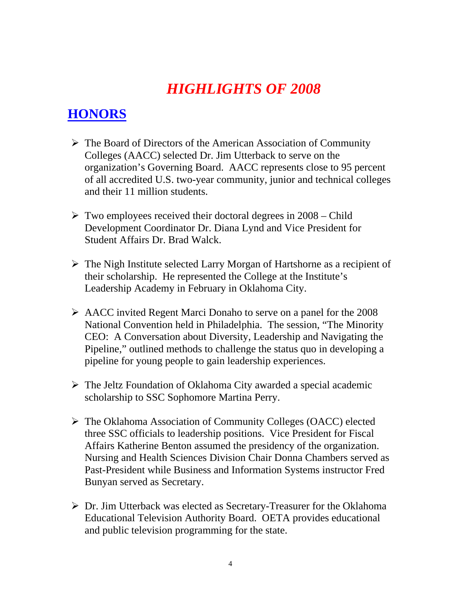# *HIGHLIGHTS OF 2008*

### **HONORS**

- ¾ The Board of Directors of the American Association of Community Colleges (AACC) selected Dr. Jim Utterback to serve on the organization's Governing Board. AACC represents close to 95 percent of all accredited U.S. two-year community, junior and technical colleges and their 11 million students.
- $\triangleright$  Two employees received their doctoral degrees in 2008 Child Development Coordinator Dr. Diana Lynd and Vice President for Student Affairs Dr. Brad Walck.
- ¾ The Nigh Institute selected Larry Morgan of Hartshorne as a recipient of their scholarship. He represented the College at the Institute's Leadership Academy in February in Oklahoma City.
- ¾ AACC invited Regent Marci Donaho to serve on a panel for the 2008 National Convention held in Philadelphia. The session, "The Minority CEO: A Conversation about Diversity, Leadership and Navigating the Pipeline," outlined methods to challenge the status quo in developing a pipeline for young people to gain leadership experiences.
- $\triangleright$  The Jeltz Foundation of Oklahoma City awarded a special academic scholarship to SSC Sophomore Martina Perry.
- ¾ The Oklahoma Association of Community Colleges (OACC) elected three SSC officials to leadership positions. Vice President for Fiscal Affairs Katherine Benton assumed the presidency of the organization. Nursing and Health Sciences Division Chair Donna Chambers served as Past-President while Business and Information Systems instructor Fred Bunyan served as Secretary.
- ¾ Dr. Jim Utterback was elected as Secretary-Treasurer for the Oklahoma Educational Television Authority Board. OETA provides educational and public television programming for the state.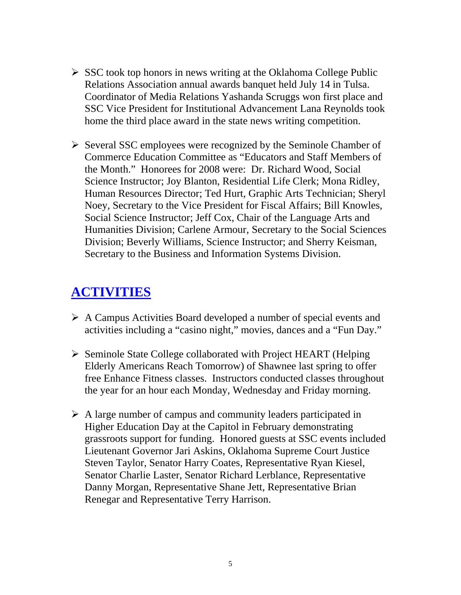- $\triangleright$  SSC took top honors in news writing at the Oklahoma College Public Relations Association annual awards banquet held July 14 in Tulsa. Coordinator of Media Relations Yashanda Scruggs won first place and SSC Vice President for Institutional Advancement Lana Reynolds took home the third place award in the state news writing competition.
- ¾ Several SSC employees were recognized by the Seminole Chamber of Commerce Education Committee as "Educators and Staff Members of the Month." Honorees for 2008 were: Dr. Richard Wood, Social Science Instructor; Joy Blanton, Residential Life Clerk; Mona Ridley, Human Resources Director; Ted Hurt, Graphic Arts Technician; Sheryl Noey, Secretary to the Vice President for Fiscal Affairs; Bill Knowles, Social Science Instructor; Jeff Cox, Chair of the Language Arts and Humanities Division; Carlene Armour, Secretary to the Social Sciences Division; Beverly Williams, Science Instructor; and Sherry Keisman, Secretary to the Business and Information Systems Division.

#### **ACTIVITIES**

- $\triangleright$  A Campus Activities Board developed a number of special events and activities including a "casino night," movies, dances and a "Fun Day."
- ¾ Seminole State College collaborated with Project HEART (Helping Elderly Americans Reach Tomorrow) of Shawnee last spring to offer free Enhance Fitness classes. Instructors conducted classes throughout the year for an hour each Monday, Wednesday and Friday morning.
- $\triangleright$  A large number of campus and community leaders participated in Higher Education Day at the Capitol in February demonstrating grassroots support for funding. Honored guests at SSC events included Lieutenant Governor Jari Askins, Oklahoma Supreme Court Justice Steven Taylor, Senator Harry Coates, Representative Ryan Kiesel, Senator Charlie Laster, Senator Richard Lerblance, Representative Danny Morgan, Representative Shane Jett, Representative Brian Renegar and Representative Terry Harrison.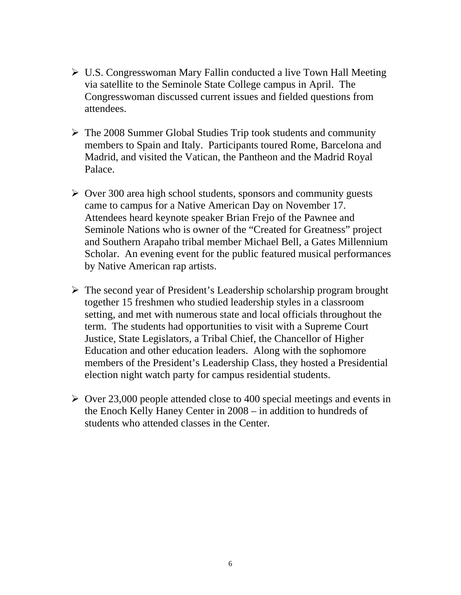- ¾ U.S. Congresswoman Mary Fallin conducted a live Town Hall Meeting via satellite to the Seminole State College campus in April. The Congresswoman discussed current issues and fielded questions from attendees.
- $\triangleright$  The 2008 Summer Global Studies Trip took students and community members to Spain and Italy. Participants toured Rome, Barcelona and Madrid, and visited the Vatican, the Pantheon and the Madrid Royal Palace.
- $\geq$  Over 300 area high school students, sponsors and community guests came to campus for a Native American Day on November 17. Attendees heard keynote speaker Brian Frejo of the Pawnee and Seminole Nations who is owner of the "Created for Greatness" project and Southern Arapaho tribal member Michael Bell, a Gates Millennium Scholar. An evening event for the public featured musical performances by Native American rap artists.
- $\triangleright$  The second year of President's Leadership scholarship program brought together 15 freshmen who studied leadership styles in a classroom setting, and met with numerous state and local officials throughout the term. The students had opportunities to visit with a Supreme Court Justice, State Legislators, a Tribal Chief, the Chancellor of Higher Education and other education leaders. Along with the sophomore members of the President's Leadership Class, they hosted a Presidential election night watch party for campus residential students.
- $\geq$  Over 23,000 people attended close to 400 special meetings and events in the Enoch Kelly Haney Center in 2008 – in addition to hundreds of students who attended classes in the Center.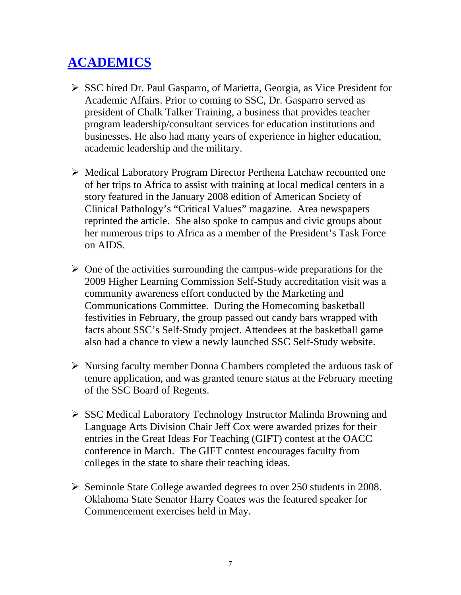# **ACADEMICS**

- ¾ SSC hired Dr. Paul Gasparro, of Marietta, Georgia, as Vice President for Academic Affairs. Prior to coming to SSC, Dr. Gasparro served as president of Chalk Talker Training, a business that provides teacher program leadership/consultant services for education institutions and businesses. He also had many years of experience in higher education, academic leadership and the military.
- ¾ Medical Laboratory Program Director Perthena Latchaw recounted one of her trips to Africa to assist with training at local medical centers in a story featured in the January 2008 edition of American Society of Clinical Pathology's "Critical Values" magazine. Area newspapers reprinted the article. She also spoke to campus and civic groups about her numerous trips to Africa as a member of the President's Task Force on AIDS.
- $\triangleright$  One of the activities surrounding the campus-wide preparations for the 2009 Higher Learning Commission Self-Study accreditation visit was a community awareness effort conducted by the Marketing and Communications Committee. During the Homecoming basketball festivities in February, the group passed out candy bars wrapped with facts about SSC's Self-Study project. Attendees at the basketball game also had a chance to view a newly launched SSC Self-Study website.
- $\triangleright$  Nursing faculty member Donna Chambers completed the arduous task of tenure application, and was granted tenure status at the February meeting of the SSC Board of Regents.
- ¾ SSC Medical Laboratory Technology Instructor Malinda Browning and Language Arts Division Chair Jeff Cox were awarded prizes for their entries in the Great Ideas For Teaching (GIFT) contest at the OACC conference in March. The GIFT contest encourages faculty from colleges in the state to share their teaching ideas.
- $\triangleright$  Seminole State College awarded degrees to over 250 students in 2008. Oklahoma State Senator Harry Coates was the featured speaker for Commencement exercises held in May.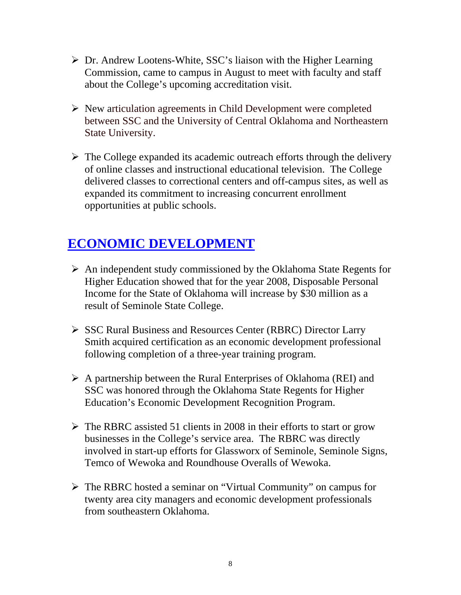- $\triangleright$  Dr. Andrew Lootens-White, SSC's liaison with the Higher Learning Commission, came to campus in August to meet with faculty and staff about the College's upcoming accreditation visit.
- $\triangleright$  New articulation agreements in Child Development were completed between SSC and the University of Central Oklahoma and Northeastern State University.
- $\triangleright$  The College expanded its academic outreach efforts through the delivery of online classes and instructional educational television. The College delivered classes to correctional centers and off-campus sites, as well as expanded its commitment to increasing concurrent enrollment opportunities at public schools.

## **ECONOMIC DEVELOPMENT**

- $\triangleright$  An independent study commissioned by the Oklahoma State Regents for Higher Education showed that for the year 2008, Disposable Personal Income for the State of Oklahoma will increase by \$30 million as a result of Seminole State College.
- ¾ SSC Rural Business and Resources Center (RBRC) Director Larry Smith acquired certification as an economic development professional following completion of a three-year training program.
- $\triangleright$  A partnership between the Rural Enterprises of Oklahoma (REI) and SSC was honored through the Oklahoma State Regents for Higher Education's Economic Development Recognition Program.
- $\triangleright$  The RBRC assisted 51 clients in 2008 in their efforts to start or grow businesses in the College's service area. The RBRC was directly involved in start-up efforts for Glassworx of Seminole, Seminole Signs, Temco of Wewoka and Roundhouse Overalls of Wewoka.
- ¾ The RBRC hosted a seminar on "Virtual Community" on campus for twenty area city managers and economic development professionals from southeastern Oklahoma.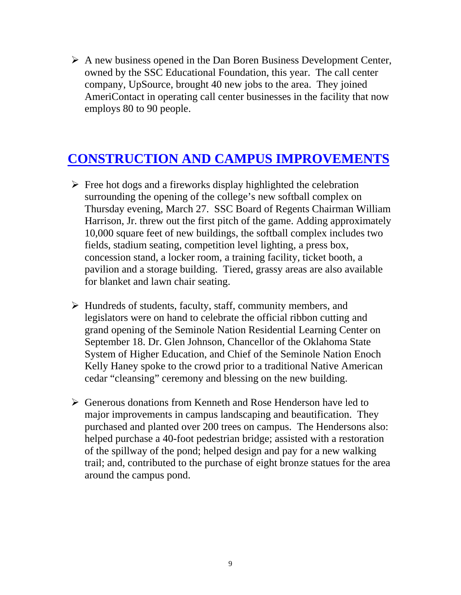$\triangleright$  A new business opened in the Dan Boren Business Development Center, owned by the SSC Educational Foundation, this year. The call center company, UpSource, brought 40 new jobs to the area. They joined AmeriContact in operating call center businesses in the facility that now employs 80 to 90 people.

#### **CONSTRUCTION AND CAMPUS IMPROVEMENTS**

- $\triangleright$  Free hot dogs and a fireworks display highlighted the celebration surrounding the opening of the college's new softball complex on Thursday evening, March 27. SSC Board of Regents Chairman William Harrison, Jr. threw out the first pitch of the game. Adding approximately 10,000 square feet of new buildings, the softball complex includes two fields, stadium seating, competition level lighting, a press box, concession stand, a locker room, a training facility, ticket booth, a pavilion and a storage building. Tiered, grassy areas are also available for blanket and lawn chair seating.
- $\triangleright$  Hundreds of students, faculty, staff, community members, and legislators were on hand to celebrate the official ribbon cutting and grand opening of the Seminole Nation Residential Learning Center on September 18. Dr. Glen Johnson, Chancellor of the Oklahoma State System of Higher Education, and Chief of the Seminole Nation Enoch Kelly Haney spoke to the crowd prior to a traditional Native American cedar "cleansing" ceremony and blessing on the new building.
- ¾ Generous donations from Kenneth and Rose Henderson have led to major improvements in campus landscaping and beautification. They purchased and planted over 200 trees on campus. The Hendersons also: helped purchase a 40-foot pedestrian bridge; assisted with a restoration of the spillway of the pond; helped design and pay for a new walking trail; and, contributed to the purchase of eight bronze statues for the area around the campus pond.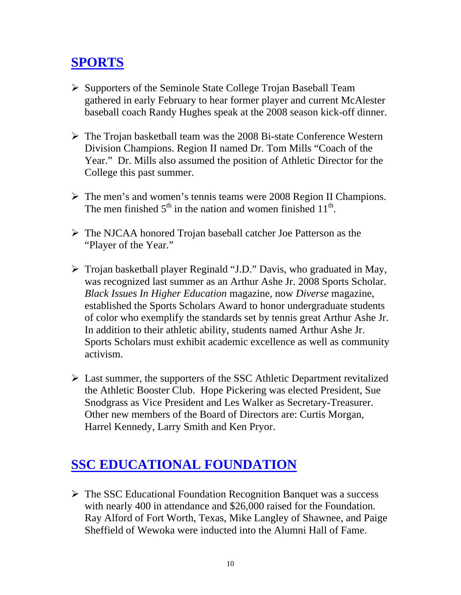# **SPORTS**

- ¾ Supporters of the Seminole State College Trojan Baseball Team gathered in early February to hear former player and current McAlester baseball coach Randy Hughes speak at the 2008 season kick-off dinner.
- $\triangleright$  The Trojan basketball team was the 2008 Bi-state Conference Western Division Champions. Region II named Dr. Tom Mills "Coach of the Year." Dr. Mills also assumed the position of Athletic Director for the College this past summer.
- $\triangleright$  The men's and women's tennis teams were 2008 Region II Champions. The men finished  $5<sup>th</sup>$  in the nation and women finished  $11<sup>th</sup>$ .
- ¾ The NJCAA honored Trojan baseball catcher Joe Patterson as the "Player of the Year."
- $\triangleright$  Trojan basketball player Reginald "J.D." Davis, who graduated in May, was recognized last summer as an Arthur Ashe Jr. 2008 Sports Scholar. *Black Issues In Higher Education* magazine, now *Diverse* magazine, established the Sports Scholars Award to honor undergraduate students of color who exemplify the standards set by tennis great Arthur Ashe Jr. In addition to their athletic ability, students named Arthur Ashe Jr. Sports Scholars must exhibit academic excellence as well as community activism.
- $\triangleright$  Last summer, the supporters of the SSC Athletic Department revitalized the Athletic Booster Club. Hope Pickering was elected President, Sue Snodgrass as Vice President and Les Walker as Secretary-Treasurer. Other new members of the Board of Directors are: Curtis Morgan, Harrel Kennedy, Larry Smith and Ken Pryor.

## **SSC EDUCATIONAL FOUNDATION**

 $\triangleright$  The SSC Educational Foundation Recognition Banquet was a success with nearly 400 in attendance and \$26,000 raised for the Foundation. Ray Alford of Fort Worth, Texas, Mike Langley of Shawnee, and Paige Sheffield of Wewoka were inducted into the Alumni Hall of Fame.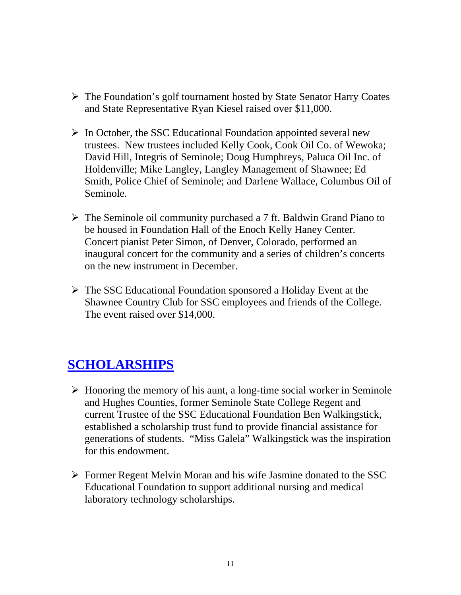- ¾ The Foundation's golf tournament hosted by State Senator Harry Coates and State Representative Ryan Kiesel raised over \$11,000.
- $\triangleright$  In October, the SSC Educational Foundation appointed several new trustees. New trustees included Kelly Cook, Cook Oil Co. of Wewoka; David Hill, Integris of Seminole; Doug Humphreys, Paluca Oil Inc. of Holdenville; Mike Langley, Langley Management of Shawnee; Ed Smith, Police Chief of Seminole; and Darlene Wallace, Columbus Oil of Seminole.
- $\triangleright$  The Seminole oil community purchased a 7 ft. Baldwin Grand Piano to be housed in Foundation Hall of the Enoch Kelly Haney Center. Concert pianist Peter Simon, of Denver, Colorado, performed an inaugural concert for the community and a series of children's concerts on the new instrument in December.
- ¾ The SSC Educational Foundation sponsored a Holiday Event at the Shawnee Country Club for SSC employees and friends of the College. The event raised over \$14,000.

#### **SCHOLARSHIPS**

- $\triangleright$  Honoring the memory of his aunt, a long-time social worker in Seminole and Hughes Counties, former Seminole State College Regent and current Trustee of the SSC Educational Foundation Ben Walkingstick, established a scholarship trust fund to provide financial assistance for generations of students. "Miss Galela" Walkingstick was the inspiration for this endowment.
- ¾ Former Regent Melvin Moran and his wife Jasmine donated to the SSC Educational Foundation to support additional nursing and medical laboratory technology scholarships.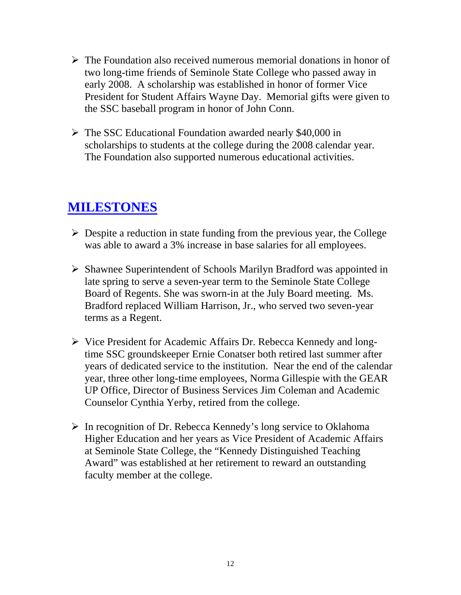- $\triangleright$  The Foundation also received numerous memorial donations in honor of two long-time friends of Seminole State College who passed away in early 2008. A scholarship was established in honor of former Vice President for Student Affairs Wayne Day. Memorial gifts were given to the SSC baseball program in honor of John Conn.
- ¾ The SSC Educational Foundation awarded nearly \$40,000 in scholarships to students at the college during the 2008 calendar year. The Foundation also supported numerous educational activities.

#### **MILESTONES**

- $\triangleright$  Despite a reduction in state funding from the previous year, the College was able to award a 3% increase in base salaries for all employees.
- ¾ Shawnee Superintendent of Schools Marilyn Bradford was appointed in late spring to serve a seven-year term to the Seminole State College Board of Regents. She was sworn-in at the July Board meeting. Ms. Bradford replaced William Harrison, Jr., who served two seven-year terms as a Regent.
- ¾ Vice President for Academic Affairs Dr. Rebecca Kennedy and longtime SSC groundskeeper Ernie Conatser both retired last summer after years of dedicated service to the institution. Near the end of the calendar year, three other long-time employees, Norma Gillespie with the GEAR UP Office, Director of Business Services Jim Coleman and Academic Counselor Cynthia Yerby, retired from the college.
- ¾ In recognition of Dr. Rebecca Kennedy's long service to Oklahoma Higher Education and her years as Vice President of Academic Affairs at Seminole State College, the "Kennedy Distinguished Teaching Award" was established at her retirement to reward an outstanding faculty member at the college.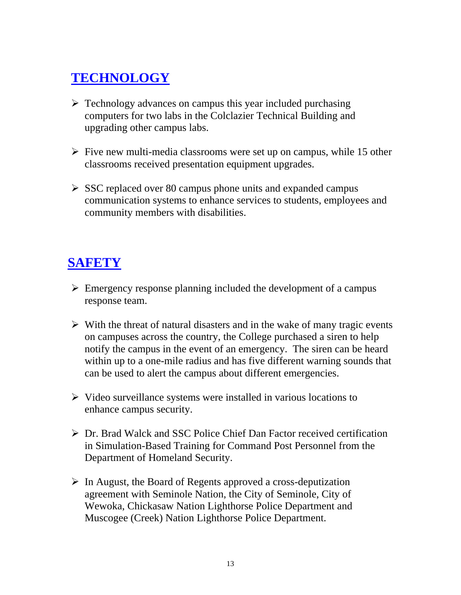## **TECHNOLOGY**

- $\triangleright$  Technology advances on campus this year included purchasing computers for two labs in the Colclazier Technical Building and upgrading other campus labs.
- $\triangleright$  Five new multi-media classrooms were set up on campus, while 15 other classrooms received presentation equipment upgrades.
- $\triangleright$  SSC replaced over 80 campus phone units and expanded campus communication systems to enhance services to students, employees and community members with disabilities.

## **SAFETY**

- $\triangleright$  Emergency response planning included the development of a campus response team.
- $\triangleright$  With the threat of natural disasters and in the wake of many tragic events on campuses across the country, the College purchased a siren to help notify the campus in the event of an emergency. The siren can be heard within up to a one-mile radius and has five different warning sounds that can be used to alert the campus about different emergencies.
- $\triangleright$  Video surveillance systems were installed in various locations to enhance campus security.
- ¾ Dr. Brad Walck and SSC Police Chief Dan Factor received certification in Simulation-Based Training for Command Post Personnel from the Department of Homeland Security.
- $\triangleright$  In August, the Board of Regents approved a cross-deputization agreement with Seminole Nation, the City of Seminole, City of Wewoka, Chickasaw Nation Lighthorse Police Department and Muscogee (Creek) Nation Lighthorse Police Department.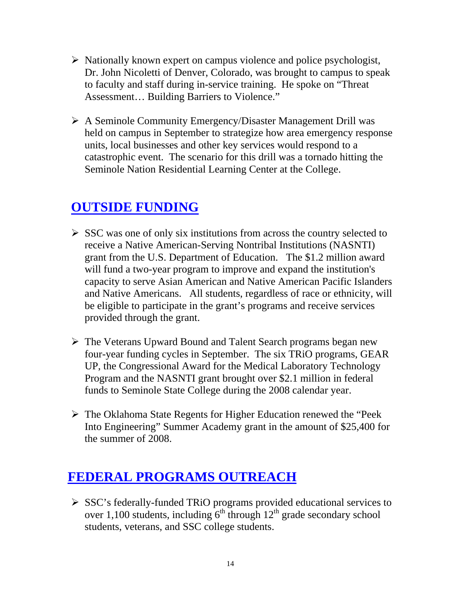- $\triangleright$  Nationally known expert on campus violence and police psychologist, Dr. John Nicoletti of Denver, Colorado, was brought to campus to speak to faculty and staff during in-service training. He spoke on "Threat Assessment… Building Barriers to Violence."
- ¾ A Seminole Community Emergency/Disaster Management Drill was held on campus in September to strategize how area emergency response units, local businesses and other key services would respond to a catastrophic event. The scenario for this drill was a tornado hitting the Seminole Nation Residential Learning Center at the College.

### **OUTSIDE FUNDING**

- $\triangleright$  SSC was one of only six institutions from across the country selected to receive a Native American-Serving Nontribal Institutions (NASNTI) grant from the U.S. Department of Education. The \$1.2 million award will fund a two-year program to improve and expand the institution's capacity to serve Asian American and Native American Pacific Islanders and Native Americans. All students, regardless of race or ethnicity, will be eligible to participate in the grant's programs and receive services provided through the grant.
- ¾ The Veterans Upward Bound and Talent Search programs began new four-year funding cycles in September. The six TRiO programs, GEAR UP, the Congressional Award for the Medical Laboratory Technology Program and the NASNTI grant brought over \$2.1 million in federal funds to Seminole State College during the 2008 calendar year.
- ¾ The Oklahoma State Regents for Higher Education renewed the "Peek Into Engineering" Summer Academy grant in the amount of \$25,400 for the summer of 2008.

### **FEDERAL PROGRAMS OUTREACH**

¾ SSC's federally-funded TRiO programs provided educational services to over 1,100 students, including  $6<sup>th</sup>$  through  $12<sup>th</sup>$  grade secondary school students, veterans, and SSC college students.